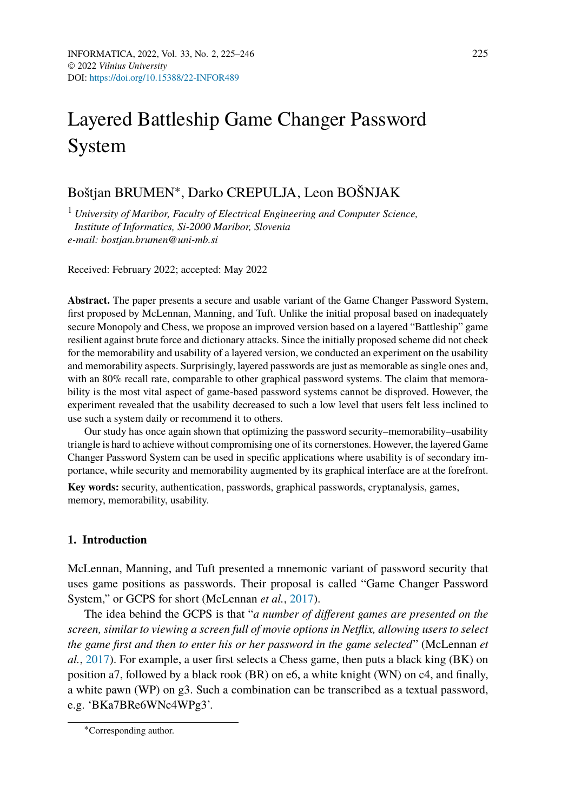# Layered Battleship Game Changer Password System

## Boštjan BRUMEN∗, Darko CREPULJA, Leon BOŠNJAK

<sup>1</sup> *University of Maribor, Faculty of Electrical Engineering and Computer Science, Institute of Informatics, Si-2000 Maribor, Slovenia e-mail: bostjan.brumen@uni-mb.si*

Received: February 2022; accepted: May 2022

**Abstract.** The paper presents a secure and usable variant of the Game Changer Password System, first proposed by McLennan, Manning, and Tuft. Unlike the initial proposal based on inadequately secure Monopoly and Chess, we propose an improved version based on a layered "Battleship" game resilient against brute force and dictionary attacks. Since the initially proposed scheme did not check for the memorability and usability of a layered version, we conducted an experiment on the usability and memorability aspects. Surprisingly, layered passwords are just as memorable as single ones and, with an 80% recall rate, comparable to other graphical password systems. The claim that memorability is the most vital aspect of game-based password systems cannot be disproved. However, the experiment revealed that the usability decreased to such a low level that users felt less inclined to use such a system daily or recommend it to others.

Our study has once again shown that optimizing the password security–memorability–usability triangle is hard to achieve without compromising one of its cornerstones. However, the layered Game Changer Password System can be used in specific applications where usability is of secondary importance, while security and memorability augmented by its graphical interface are at the forefront.

**Key words:** security, authentication, passwords, graphical passwords, cryptanalysis, games, memory, memorability, usability.

## **1. Introduction**

McLennan, Manning, and Tuft presented a mnemonic variant of password security that uses game positions as passwords. Their proposal is called "Game Changer Password System," or GCPS for short (McLennan *et al.*, [2017](#page-20-0)).

The idea behind the GCPS is that "*a number of different games are presented on the screen, similar to viewing a screen full of movie options in Netflix, allowing users to select the game first and then to enter his or her password in the game selected*" (McLennan *et al.*, [2017\)](#page-20-0). For example, a user first selects a Chess game, then puts a black king (BK) on position a7, followed by a black rook (BR) on e6, a white knight (WN) on c4, and finally, a white pawn (WP) on g3. Such a combination can be transcribed as a textual password, e.g. 'BKa7BRe6WNc4WPg3'.

<sup>∗</sup>Corresponding author.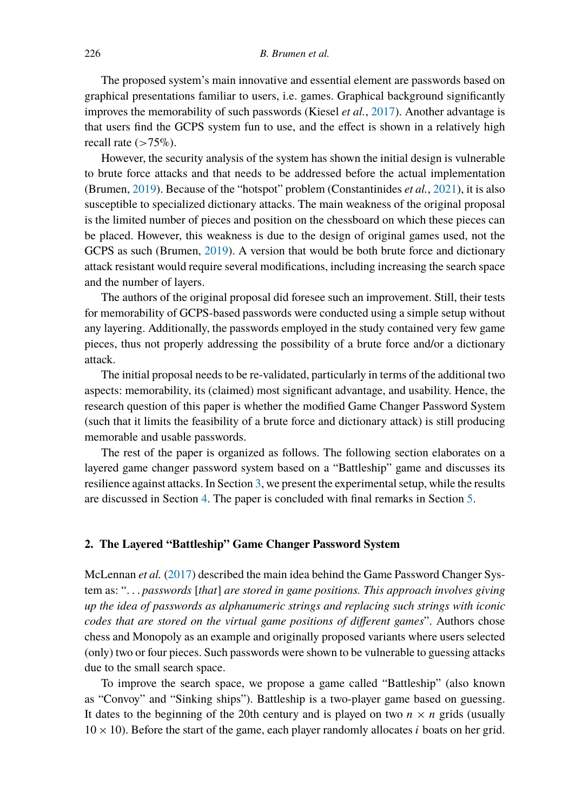The proposed system's main innovative and essential element are passwords based on graphical presentations familiar to users, i.e. games. Graphical background significantly improves the memorability of such passwords (Kiesel *et al.*, [2017](#page-20-1)). Another advantage is that users find the GCPS system fun to use, and the effect is shown in a relatively high recall rate (*>*75%).

However, the security analysis of the system has shown the initial design is vulnerable to brute force attacks and that needs to be addressed before the actual implementation (Brumen, [2019](#page-20-2)). Because of the "hotspot" problem (Constantinides *et al.*, [2021](#page-20-3)), it is also susceptible to specialized dictionary attacks. The main weakness of the original proposal is the limited number of pieces and position on the chessboard on which these pieces can be placed. However, this weakness is due to the design of original games used, not the GCPS as such (Brumen, [2019](#page-20-2)). A version that would be both brute force and dictionary attack resistant would require several modifications, including increasing the search space and the number of layers.

The authors of the original proposal did foresee such an improvement. Still, their tests for memorability of GCPS-based passwords were conducted using a simple setup without any layering. Additionally, the passwords employed in the study contained very few game pieces, thus not properly addressing the possibility of a brute force and/or a dictionary attack.

The initial proposal needs to be re-validated, particularly in terms of the additional two aspects: memorability, its (claimed) most significant advantage, and usability. Hence, the research question of this paper is whether the modified Game Changer Password System (such that it limits the feasibility of a brute force and dictionary attack) is still producing memorable and usable passwords.

The rest of the paper is organized as follows. The following section elaborates on a layered game changer password system based on a "Battleship" game and discusses its resilience against attacks. In Section [3,](#page-6-0) we present the experimental setup, while the results are discussed in Section [4.](#page-12-0) The paper is concluded with final remarks in Section [5.](#page-19-0)

## <span id="page-1-0"></span>**2. The Layered "Battleship" Game Changer Password System**

McLennan *et al.* ([2017\)](#page-20-0) described the main idea behind the Game Password Changer System as: "*... passwords* [*that*] *are stored in game positions. This approach involves giving up the idea of passwords as alphanumeric strings and replacing such strings with iconic codes that are stored on the virtual game positions of different games*". Authors chose chess and Monopoly as an example and originally proposed variants where users selected (only) two or four pieces. Such passwords were shown to be vulnerable to guessing attacks due to the small search space.

To improve the search space, we propose a game called "Battleship" (also known as "Convoy" and "Sinking ships"). Battleship is a two-player game based on guessing. It dates to the beginning of the 20th century and is played on two  $n \times n$  grids (usually  $10 \times 10$ ). Before the start of the game, each player randomly allocates *i* boats on her grid.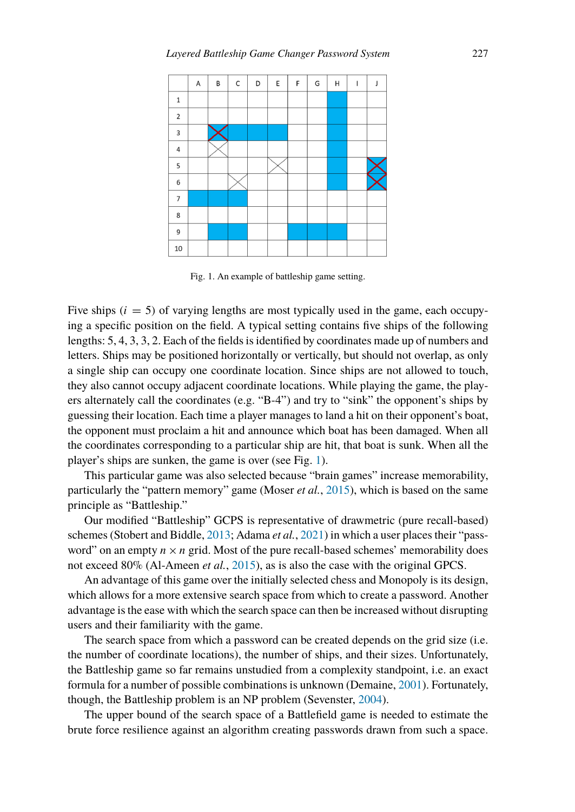<span id="page-2-0"></span>

Fig. 1. An example of battleship game setting.

Five ships  $(i = 5)$  of varying lengths are most typically used in the game, each occupying a specific position on the field. A typical setting contains five ships of the following lengths: 5, 4, 3, 3, 2. Each of the fields is identified by coordinates made up of numbers and letters. Ships may be positioned horizontally or vertically, but should not overlap, as only a single ship can occupy one coordinate location. Since ships are not allowed to touch, they also cannot occupy adjacent coordinate locations. While playing the game, the players alternately call the coordinates (e.g. "B-4") and try to "sink" the opponent's ships by guessing their location. Each time a player manages to land a hit on their opponent's boat, the opponent must proclaim a hit and announce which boat has been damaged. When all the coordinates corresponding to a particular ship are hit, that boat is sunk. When all the player's ships are sunken, the game is over (see Fig. [1](#page-2-0)).

This particular game was also selected because "brain games" increase memorability, particularly the "pattern memory" game (Moser *et al.*, [2015](#page-20-4)), which is based on the same principle as "Battleship."

Our modified "Battleship" GCPS is representative of drawmetric (pure recall-based) schemes (Stobert and Biddle, [2013](#page-21-0); Adama *et al.*, [2021\)](#page-20-5) in which a user places their "password" on an empty  $n \times n$  grid. Most of the pure recall-based schemes' memorability does not exceed 80% (Al-Ameen *et al.*, [2015](#page-20-6)), as is also the case with the original GPCS.

An advantage of this game over the initially selected chess and Monopoly is its design, which allows for a more extensive search space from which to create a password. Another advantage is the ease with which the search space can then be increased without disrupting users and their familiarity with the game.

The search space from which a password can be created depends on the grid size (i.e. the number of coordinate locations), the number of ships, and their sizes. Unfortunately, the Battleship game so far remains unstudied from a complexity standpoint, i.e. an exact formula for a number of possible combinations is unknown (Demaine, [2001](#page-20-7)). Fortunately, though, the Battleship problem is an NP problem (Sevenster, [2004](#page-21-1)).

The upper bound of the search space of a Battlefield game is needed to estimate the brute force resilience against an algorithm creating passwords drawn from such a space.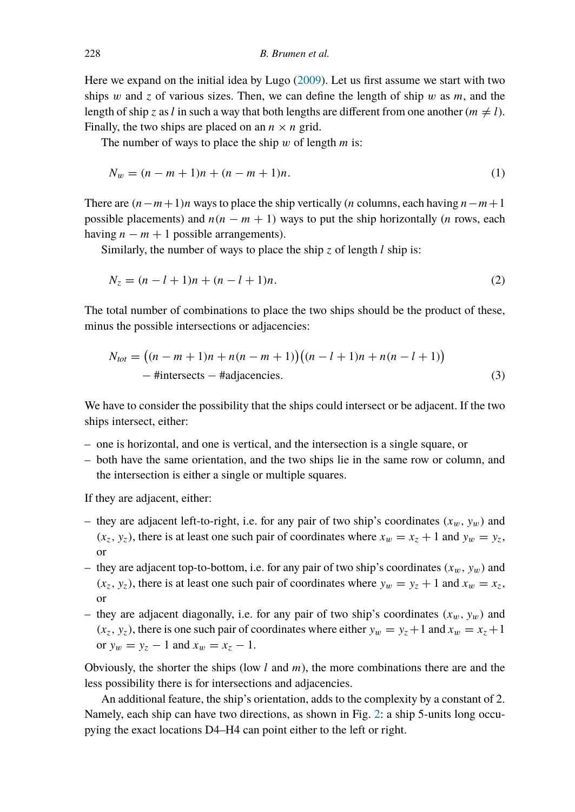Here we expand on the initial idea by Lugo [\(2009](#page-20-8)). Let us first assume we start with two ships *w* and *z* of various sizes. Then, we can define the length of ship *w* as *m*, and the length of ship *z* as *l* in such a way that both lengths are different from one another  $(m \neq l)$ . Finally, the two ships are placed on an  $n \times n$  grid.

The number of ways to place the ship *w* of length *m* is:

$$
N_w = (n - m + 1)n + (n - m + 1)n.
$$
 (1)

There are *(n*−*m*+1*)n* ways to place the ship vertically (*n* columns, each having *n*−*m*+1 possible placements) and  $n(n - m + 1)$  ways to put the ship horizontally (*n* rows, each having  $n - m + 1$  possible arrangements).

Similarly, the number of ways to place the ship *z* of length *l* ship is:

$$
N_z = (n - l + 1)n + (n - l + 1)n.
$$
\n(2)

The total number of combinations to place the two ships should be the product of these, minus the possible intersections or adjacencies:

<span id="page-3-0"></span>
$$
N_{tot} = ((n - m + 1)n + n(n - m + 1))((n - l + 1)n + n(n - l + 1))
$$
  
- Hintersects – Hadjaecencies. (3)

We have to consider the possibility that the ships could intersect or be adjacent. If the two ships intersect, either:

- one is horizontal, and one is vertical, and the intersection is a single square, or
- both have the same orientation, and the two ships lie in the same row or column, and the intersection is either a single or multiple squares.

If they are adjacent, either:

- they are adjacent left-to-right, i.e. for any pair of two ship's coordinates  $(x_w, y_w)$  and  $(x_z, y_z)$ , there is at least one such pair of coordinates where  $x_w = x_z + 1$  and  $y_w = y_z$ , or
- they are adjacent top-to-bottom, i.e. for any pair of two ship's coordinates  $(x_w, y_w)$  and  $(x_z, y_z)$ , there is at least one such pair of coordinates where  $y_w = y_z + 1$  and  $x_w = x_z$ , or
- they are adjacent diagonally, i.e. for any pair of two ship's coordinates  $(x_w, y_w)$  and  $(x_z, y_z)$ , there is one such pair of coordinates where either  $y_w = y_z + 1$  and  $x_w = x_z + 1$ or  $y_w = y_z - 1$  and  $x_w = x_z - 1$ .

Obviously, the shorter the ships (low *l* and *m*), the more combinations there are and the less possibility there is for intersections and adjacencies.

An additional feature, the ship's orientation, adds to the complexity by a constant of 2. Namely, each ship can have two directions, as shown in Fig. [2:](#page-4-0) a ship 5-units long occupying the exact locations D4–H4 can point either to the left or right.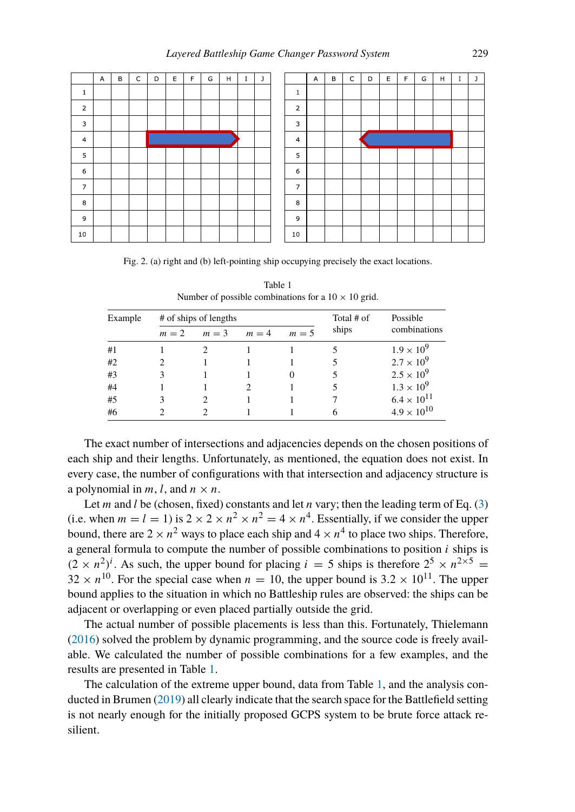<span id="page-4-0"></span>

|                | $\mathsf A$ | B | $\mathsf{C}$ | D | E | F | G | H | $\rm I$ | $\mathbf{j}$ |
|----------------|-------------|---|--------------|---|---|---|---|---|---------|--------------|
| $\mathbf 1$    |             |   |              |   |   |   |   |   |         |              |
| $\mathbf 2$    |             |   |              |   |   |   |   |   |         |              |
| 3              |             |   |              |   |   |   |   |   |         |              |
| $\overline{4}$ |             |   |              |   |   |   |   | ✔ |         |              |
| 5              |             |   |              |   |   |   |   |   |         |              |
| 6              |             |   |              |   |   |   |   |   |         |              |
| $\overline{7}$ |             |   |              |   |   |   |   |   |         |              |
| 8              |             |   |              |   |   |   |   |   |         |              |
| 9              |             |   |              |   |   |   |   |   |         |              |
| 10             |             |   |              |   |   |   |   |   |         |              |

|                         | A | B | $\mathsf C$ | D | E | F | G | H | $\rm I$ | J |
|-------------------------|---|---|-------------|---|---|---|---|---|---------|---|
| $\mathbf 1$             |   |   |             |   |   |   |   |   |         |   |
| 2                       |   |   |             |   |   |   |   |   |         |   |
| 3                       |   |   |             |   |   |   |   |   |         |   |
| $\overline{\mathbf{4}}$ |   |   |             |   |   |   |   |   |         |   |
| 5                       |   |   |             |   |   |   |   |   |         |   |
| 6                       |   |   |             |   |   |   |   |   |         |   |
| 7                       |   |   |             |   |   |   |   |   |         |   |
| 8                       |   |   |             |   |   |   |   |   |         |   |
| 9                       |   |   |             |   |   |   |   |   |         |   |
| 10                      |   |   |             |   |   |   |   |   |         |   |

Fig. 2. (a) right and (b) left-pointing ship occupying precisely the exact locations.

<span id="page-4-1"></span>

| Example |       | # of ships of lengths |         |       | Total # of | Possible             |  |
|---------|-------|-----------------------|---------|-------|------------|----------------------|--|
|         | $m=2$ | $m = 3$               | $m = 4$ | $m=5$ | ships      | combinations         |  |
| #1      |       |                       |         |       |            | $1.9 \times 10^{9}$  |  |
| #2      |       |                       |         |       |            | $2.7 \times 10^{9}$  |  |
| #3      | 3     |                       |         |       |            | $2.5 \times 10^{9}$  |  |
| #4      |       |                       |         |       |            | $1.3 \times 10^{9}$  |  |
| #5      | 3     |                       |         |       |            | $6.4 \times 10^{11}$ |  |
| #6      |       |                       |         |       |            | $4.9 \times 10^{10}$ |  |

Table 1 Number of possible combinations for a  $10 \times 10$  grid.

The exact number of intersections and adjacencies depends on the chosen positions of each ship and their lengths. Unfortunately, as mentioned, the equation does not exist. In every case, the number of configurations with that intersection and adjacency structure is a polynomial in  $m$ ,  $l$ , and  $n \times n$ .

Let *m* and *l* be (chosen, fixed) constants and let *n* vary; then the leading term of Eq. [\(3](#page-3-0)) (i.e. when  $m = l = 1$ ) is  $2 \times 2 \times n^2 \times n^2 = 4 \times n^4$ . Essentially, if we consider the upper bound, there are  $2 \times n^2$  ways to place each ship and  $4 \times n^4$  to place two ships. Therefore, a general formula to compute the number of possible combinations to position *i* ships is  $(2 \times n^2)^i$ . As such, the upper bound for placing  $i = 5$  ships is therefore  $2^5 \times n^{2 \times 5} =$  $32 \times n^{10}$ . For the special case when  $n = 10$ , the upper bound is  $3.2 \times 10^{11}$ . The upper bound applies to the situation in which no Battleship rules are observed: the ships can be adjacent or overlapping or even placed partially outside the grid.

The actual number of possible placements is less than this. Fortunately, Thielemann [\(2016\)](#page-21-2) solved the problem by dynamic programming, and the source code is freely available. We calculated the number of possible combinations for a few examples, and the results are presented in Table [1](#page-4-1).

The calculation of the extreme upper bound, data from Table [1,](#page-4-1) and the analysis conducted in Brumen [\(2019](#page-20-2)) all clearly indicate that the search space for the Battlefield setting is not nearly enough for the initially proposed GCPS system to be brute force attack resilient.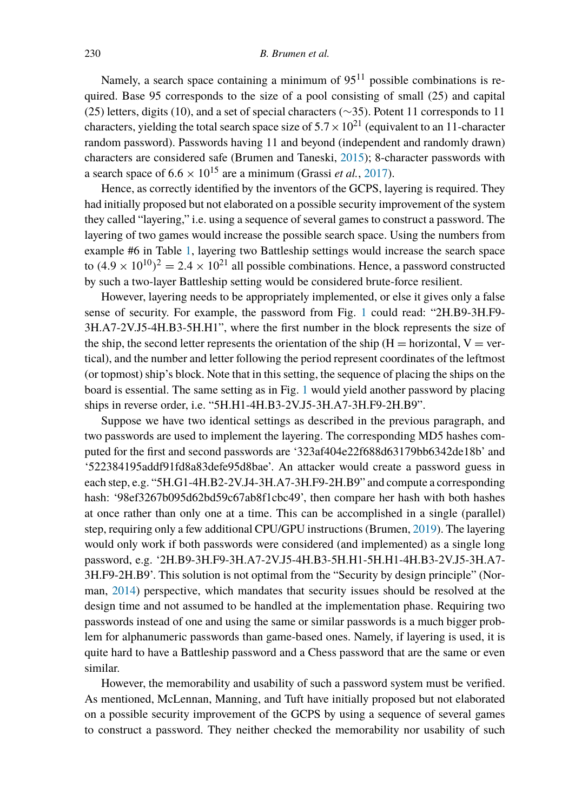Namely, a search space containing a minimum of  $95<sup>11</sup>$  possible combinations is required. Base 95 corresponds to the size of a pool consisting of small (25) and capital (25) letters, digits (10), and a set of special characters (∼35). Potent 11 corresponds to 11 characters, yielding the total search space size of  $5.7 \times 10^{21}$  (equivalent to an 11-character random password). Passwords having 11 and beyond (independent and randomly drawn) characters are considered safe (Brumen and Taneski, [2015](#page-20-9)); 8-character passwords with a search space of  $6.6 \times 10^{15}$  are a minimum (Grassi *et al.*, [2017](#page-20-10)).

Hence, as correctly identified by the inventors of the GCPS, layering is required. They had initially proposed but not elaborated on a possible security improvement of the system they called "layering," i.e. using a sequence of several games to construct a password. The layering of two games would increase the possible search space. Using the numbers from example #6 in Table [1](#page-4-1), layering two Battleship settings would increase the search space to  $(4.9 \times 10^{10})^2 = 2.4 \times 10^{21}$  all possible combinations. Hence, a password constructed by such a two-layer Battleship setting would be considered brute-force resilient.

However, layering needs to be appropriately implemented, or else it gives only a false sense of security. For example, the password from Fig. [1](#page-2-0) could read: "2H.B9-3H.F9- 3H.A7-2V.J5-4H.B3-5H.H1", where the first number in the block represents the size of the ship, the second letter represents the orientation of the ship ( $H =$  horizontal,  $V =$  vertical), and the number and letter following the period represent coordinates of the leftmost (or topmost) ship's block. Note that in this setting, the sequence of placing the ships on the board is essential. The same setting as in Fig. [1](#page-2-0) would yield another password by placing ships in reverse order, i.e. "5H.H1-4H.B3-2V.J5-3H.A7-3H.F9-2H.B9".

Suppose we have two identical settings as described in the previous paragraph, and two passwords are used to implement the layering. The corresponding MD5 hashes computed for the first and second passwords are '323af404e22f688d63179bb6342de18b' and '522384195addf91fd8a83defe95d8bae'. An attacker would create a password guess in each step, e.g. "5H.G1-4H.B2-2V.J4-3H.A7-3H.F9-2H.B9" and compute a corresponding hash: '98ef3267b095d62bd59c67ab8f1cbc49', then compare her hash with both hashes at once rather than only one at a time. This can be accomplished in a single (parallel) step, requiring only a few additional CPU/GPU instructions (Brumen, [2019](#page-20-2)). The layering would only work if both passwords were considered (and implemented) as a single long password, e.g. '2H.B9-3H.F9-3H.A7-2V.J5-4H.B3-5H.H1-5H.H1-4H.B3-2V.J5-3H.A7- 3H.F9-2H.B9'. This solution is not optimal from the "Security by design principle" (Norman, [2014\)](#page-20-11) perspective, which mandates that security issues should be resolved at the design time and not assumed to be handled at the implementation phase. Requiring two passwords instead of one and using the same or similar passwords is a much bigger problem for alphanumeric passwords than game-based ones. Namely, if layering is used, it is quite hard to have a Battleship password and a Chess password that are the same or even similar.

However, the memorability and usability of such a password system must be verified. As mentioned, McLennan, Manning, and Tuft have initially proposed but not elaborated on a possible security improvement of the GCPS by using a sequence of several games to construct a password. They neither checked the memorability nor usability of such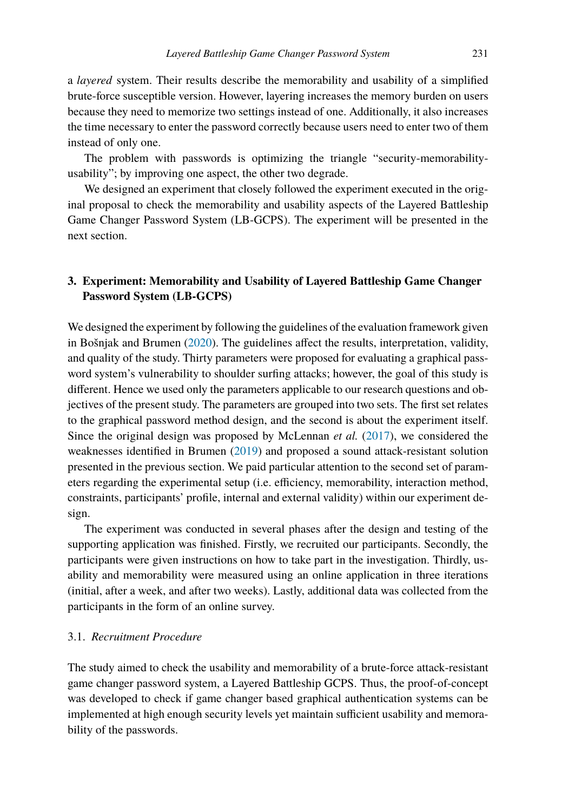a *layered* system. Their results describe the memorability and usability of a simplified brute-force susceptible version. However, layering increases the memory burden on users because they need to memorize two settings instead of one. Additionally, it also increases the time necessary to enter the password correctly because users need to enter two of them instead of only one.

The problem with passwords is optimizing the triangle "security-memorabilityusability"; by improving one aspect, the other two degrade.

We designed an experiment that closely followed the experiment executed in the original proposal to check the memorability and usability aspects of the Layered Battleship Game Changer Password System (LB-GCPS). The experiment will be presented in the next section.

## <span id="page-6-0"></span>**3. Experiment: Memorability and Usability of Layered Battleship Game Changer Password System (LB-GCPS)**

We designed the experiment by following the guidelines of the evaluation framework given in Bošnjak and Brumen ([2020\)](#page-20-12). The guidelines affect the results, interpretation, validity, and quality of the study. Thirty parameters were proposed for evaluating a graphical password system's vulnerability to shoulder surfing attacks; however, the goal of this study is different. Hence we used only the parameters applicable to our research questions and objectives of the present study. The parameters are grouped into two sets. The first set relates to the graphical password method design, and the second is about the experiment itself. Since the original design was proposed by McLennan *et al.* ([2017\)](#page-20-0), we considered the weaknesses identified in Brumen [\(2019](#page-20-2)) and proposed a sound attack-resistant solution presented in the previous section. We paid particular attention to the second set of parameters regarding the experimental setup (i.e. efficiency, memorability, interaction method, constraints, participants' profile, internal and external validity) within our experiment design.

The experiment was conducted in several phases after the design and testing of the supporting application was finished. Firstly, we recruited our participants. Secondly, the participants were given instructions on how to take part in the investigation. Thirdly, usability and memorability were measured using an online application in three iterations (initial, after a week, and after two weeks). Lastly, additional data was collected from the participants in the form of an online survey.

## 3.1. *Recruitment Procedure*

The study aimed to check the usability and memorability of a brute-force attack-resistant game changer password system, a Layered Battleship GCPS. Thus, the proof-of-concept was developed to check if game changer based graphical authentication systems can be implemented at high enough security levels yet maintain sufficient usability and memorability of the passwords.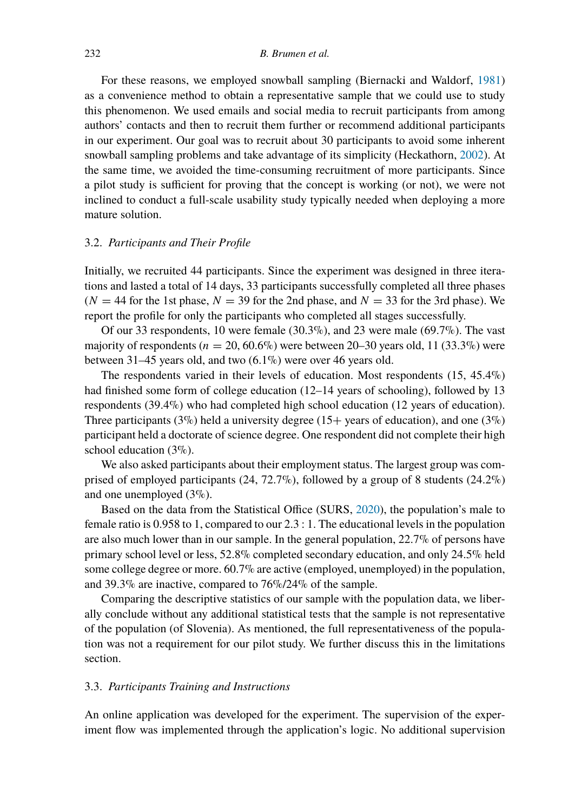For these reasons, we employed snowball sampling (Biernacki and Waldorf, [1981](#page-20-13)) as a convenience method to obtain a representative sample that we could use to study this phenomenon. We used emails and social media to recruit participants from among authors' contacts and then to recruit them further or recommend additional participants in our experiment. Our goal was to recruit about 30 participants to avoid some inherent snowball sampling problems and take advantage of its simplicity (Heckathorn, [2002\)](#page-20-14). At the same time, we avoided the time-consuming recruitment of more participants. Since a pilot study is sufficient for proving that the concept is working (or not), we were not inclined to conduct a full-scale usability study typically needed when deploying a more mature solution.

## 3.2. *Participants and Their Profile*

Initially, we recruited 44 participants. Since the experiment was designed in three iterations and lasted a total of 14 days, 33 participants successfully completed all three phases  $(N = 44$  for the 1st phase,  $N = 39$  for the 2nd phase, and  $N = 33$  for the 3rd phase). We report the profile for only the participants who completed all stages successfully.

Of our 33 respondents, 10 were female (30.3%), and 23 were male (69.7%). The vast majority of respondents ( $n = 20, 60.6\%$ ) were between 20–30 years old, 11 (33.3%) were between 31–45 years old, and two (6.1%) were over 46 years old.

The respondents varied in their levels of education. Most respondents (15, 45.4%) had finished some form of college education (12–14 years of schooling), followed by 13 respondents (39.4%) who had completed high school education (12 years of education). Three participants (3%) held a university degree (15+ years of education), and one (3%) participant held a doctorate of science degree. One respondent did not complete their high school education (3%).

We also asked participants about their employment status. The largest group was comprised of employed participants (24, 72.7%), followed by a group of 8 students (24.2%) and one unemployed (3%).

Based on the data from the Statistical Office (SURS, [2020](#page-21-3)), the population's male to female ratio is 0.958 to 1, compared to our 2.3 : 1. The educational levels in the population are also much lower than in our sample. In the general population, 22.7% of persons have primary school level or less, 52.8% completed secondary education, and only 24.5% held some college degree or more. 60.7% are active (employed, unemployed) in the population, and 39.3% are inactive, compared to 76%/24% of the sample.

Comparing the descriptive statistics of our sample with the population data, we liberally conclude without any additional statistical tests that the sample is not representative of the population (of Slovenia). As mentioned, the full representativeness of the population was not a requirement for our pilot study. We further discuss this in the limitations section.

## 3.3. *Participants Training and Instructions*

An online application was developed for the experiment. The supervision of the experiment flow was implemented through the application's logic. No additional supervision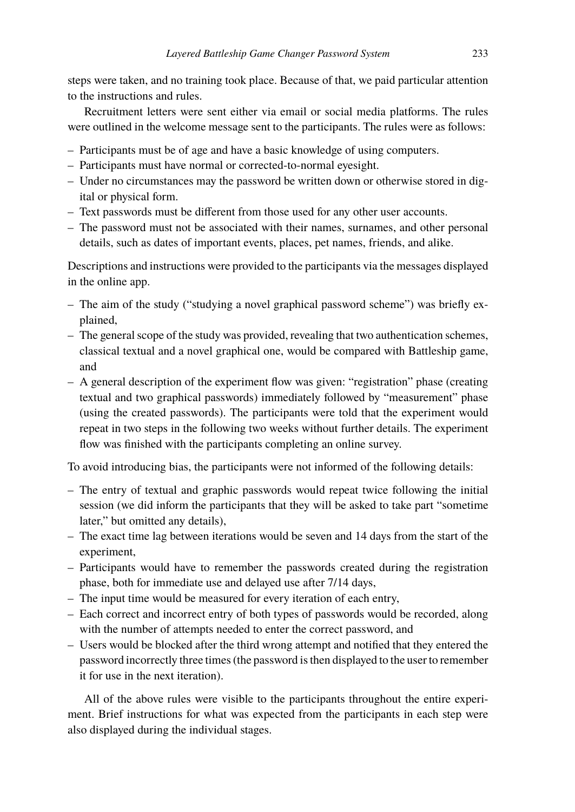steps were taken, and no training took place. Because of that, we paid particular attention to the instructions and rules.

Recruitment letters were sent either via email or social media platforms. The rules were outlined in the welcome message sent to the participants. The rules were as follows:

- Participants must be of age and have a basic knowledge of using computers.
- Participants must have normal or corrected-to-normal eyesight.
- Under no circumstances may the password be written down or otherwise stored in digital or physical form.
- Text passwords must be different from those used for any other user accounts.
- The password must not be associated with their names, surnames, and other personal details, such as dates of important events, places, pet names, friends, and alike.

Descriptions and instructions were provided to the participants via the messages displayed in the online app.

- The aim of the study ("studying a novel graphical password scheme") was briefly explained,
- The general scope of the study was provided, revealing that two authentication schemes, classical textual and a novel graphical one, would be compared with Battleship game, and
- A general description of the experiment flow was given: "registration" phase (creating textual and two graphical passwords) immediately followed by "measurement" phase (using the created passwords). The participants were told that the experiment would repeat in two steps in the following two weeks without further details. The experiment flow was finished with the participants completing an online survey.

To avoid introducing bias, the participants were not informed of the following details:

- The entry of textual and graphic passwords would repeat twice following the initial session (we did inform the participants that they will be asked to take part "sometime later," but omitted any details),
- The exact time lag between iterations would be seven and 14 days from the start of the experiment,
- Participants would have to remember the passwords created during the registration phase, both for immediate use and delayed use after 7/14 days,
- The input time would be measured for every iteration of each entry,
- Each correct and incorrect entry of both types of passwords would be recorded, along with the number of attempts needed to enter the correct password, and
- Users would be blocked after the third wrong attempt and notified that they entered the password incorrectly three times (the password is then displayed to the user to remember it for use in the next iteration).

All of the above rules were visible to the participants throughout the entire experiment. Brief instructions for what was expected from the participants in each step were also displayed during the individual stages.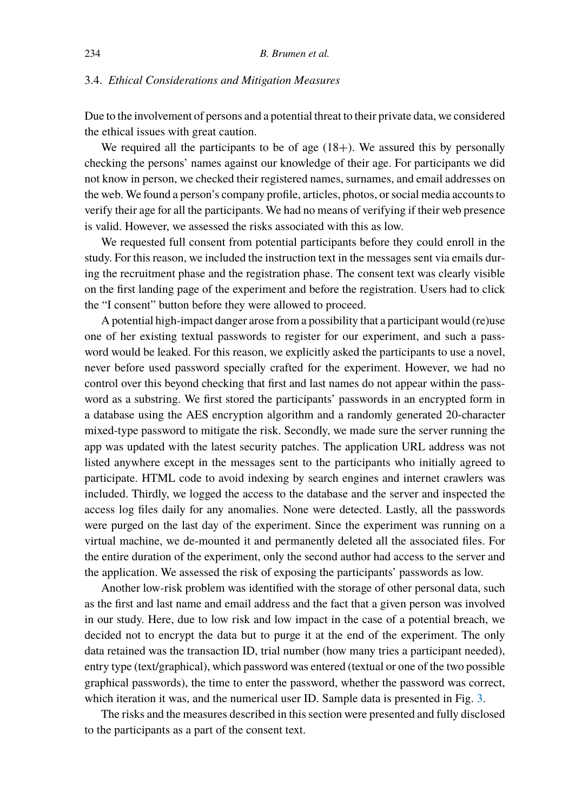## 3.4. *Ethical Considerations and Mitigation Measures*

Due to the involvement of persons and a potential threat to their private data, we considered the ethical issues with great caution.

We required all the participants to be of age  $(18+)$ . We assured this by personally checking the persons' names against our knowledge of their age. For participants we did not know in person, we checked their registered names, surnames, and email addresses on the web. We found a person's company profile, articles, photos, or social media accounts to verify their age for all the participants. We had no means of verifying if their web presence is valid. However, we assessed the risks associated with this as low.

We requested full consent from potential participants before they could enroll in the study. For this reason, we included the instruction text in the messages sent via emails during the recruitment phase and the registration phase. The consent text was clearly visible on the first landing page of the experiment and before the registration. Users had to click the "I consent" button before they were allowed to proceed.

A potential high-impact danger arose from a possibility that a participant would (re)use one of her existing textual passwords to register for our experiment, and such a password would be leaked. For this reason, we explicitly asked the participants to use a novel, never before used password specially crafted for the experiment. However, we had no control over this beyond checking that first and last names do not appear within the password as a substring. We first stored the participants' passwords in an encrypted form in a database using the AES encryption algorithm and a randomly generated 20-character mixed-type password to mitigate the risk. Secondly, we made sure the server running the app was updated with the latest security patches. The application URL address was not listed anywhere except in the messages sent to the participants who initially agreed to participate. HTML code to avoid indexing by search engines and internet crawlers was included. Thirdly, we logged the access to the database and the server and inspected the access log files daily for any anomalies. None were detected. Lastly, all the passwords were purged on the last day of the experiment. Since the experiment was running on a virtual machine, we de-mounted it and permanently deleted all the associated files. For the entire duration of the experiment, only the second author had access to the server and the application. We assessed the risk of exposing the participants' passwords as low.

Another low-risk problem was identified with the storage of other personal data, such as the first and last name and email address and the fact that a given person was involved in our study. Here, due to low risk and low impact in the case of a potential breach, we decided not to encrypt the data but to purge it at the end of the experiment. The only data retained was the transaction ID, trial number (how many tries a participant needed), entry type (text/graphical), which password was entered (textual or one of the two possible graphical passwords), the time to enter the password, whether the password was correct, which iteration it was, and the numerical user ID. Sample data is presented in Fig. [3.](#page-10-0)

The risks and the measures described in this section were presented and fully disclosed to the participants as a part of the consent text.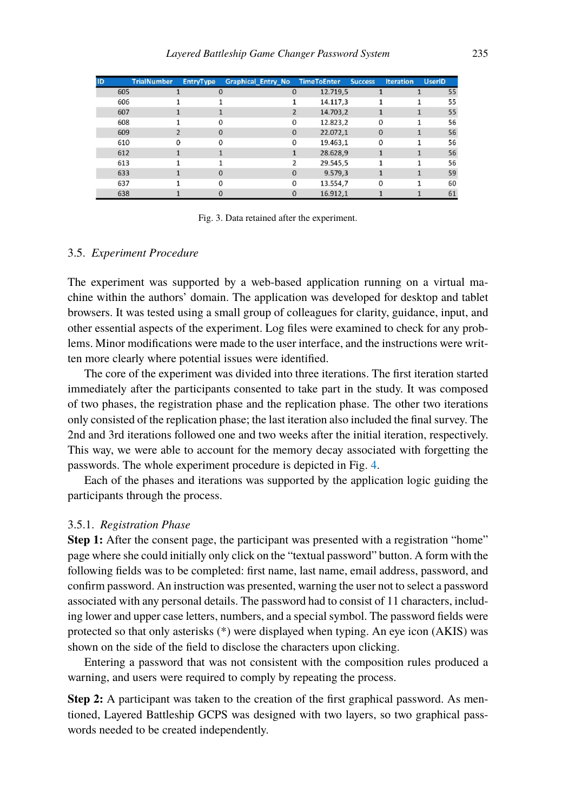<span id="page-10-0"></span>

| <b>ID</b> |     | <b>TrialNumber</b> | <b>EntryType</b> | <b>Graphical Entry No</b> |          | <b>TimeToEnter</b> | <b>Success</b> | <b>Iteration</b> | <b>UserID</b> |    |
|-----------|-----|--------------------|------------------|---------------------------|----------|--------------------|----------------|------------------|---------------|----|
|           | 605 |                    | 0                |                           | $\Omega$ | 12.719.5           |                |                  |               | 55 |
|           | 606 |                    |                  |                           |          | 14.117,3           |                |                  |               | 55 |
|           | 607 |                    |                  |                           |          | 14.703.2           |                |                  |               | 55 |
|           | 608 |                    | 0                |                           | 0        | 12.823,2           | 0              |                  |               | 56 |
|           | 609 |                    | 0                |                           | $\Omega$ | 22.072,1           | $\Omega$       |                  |               | 56 |
|           | 610 |                    | 0                |                           | $\Omega$ | 19.463.1           | 0              |                  |               | 56 |
|           | 612 |                    |                  |                           |          | 28.628.9           |                |                  |               | 56 |
|           | 613 |                    |                  |                           |          | 29.545,5           |                |                  |               | 56 |
|           | 633 |                    | 0                |                           | $\Omega$ | 9.579,3            |                |                  |               | 59 |
|           | 637 |                    | o                |                           | $\Omega$ | 13.554,7           | 0              |                  |               | 60 |
|           | 638 |                    | 0                |                           | $\Omega$ | 16.912,1           |                |                  |               | 61 |

Fig. 3. Data retained after the experiment.

## 3.5. *Experiment Procedure*

The experiment was supported by a web-based application running on a virtual machine within the authors' domain. The application was developed for desktop and tablet browsers. It was tested using a small group of colleagues for clarity, guidance, input, and other essential aspects of the experiment. Log files were examined to check for any problems. Minor modifications were made to the user interface, and the instructions were written more clearly where potential issues were identified.

The core of the experiment was divided into three iterations. The first iteration started immediately after the participants consented to take part in the study. It was composed of two phases, the registration phase and the replication phase. The other two iterations only consisted of the replication phase; the last iteration also included the final survey. The 2nd and 3rd iterations followed one and two weeks after the initial iteration, respectively. This way, we were able to account for the memory decay associated with forgetting the passwords. The whole experiment procedure is depicted in Fig. [4.](#page-11-0)

Each of the phases and iterations was supported by the application logic guiding the participants through the process.

## 3.5.1. *Registration Phase*

**Step 1:** After the consent page, the participant was presented with a registration "home" page where she could initially only click on the "textual password" button. A form with the following fields was to be completed: first name, last name, email address, password, and confirm password. An instruction was presented, warning the user not to select a password associated with any personal details. The password had to consist of 11 characters, including lower and upper case letters, numbers, and a special symbol. The password fields were protected so that only asterisks (\*) were displayed when typing. An eye icon (AKIS) was shown on the side of the field to disclose the characters upon clicking.

Entering a password that was not consistent with the composition rules produced a warning, and users were required to comply by repeating the process.

**Step 2:** A participant was taken to the creation of the first graphical password. As mentioned, Layered Battleship GCPS was designed with two layers, so two graphical passwords needed to be created independently.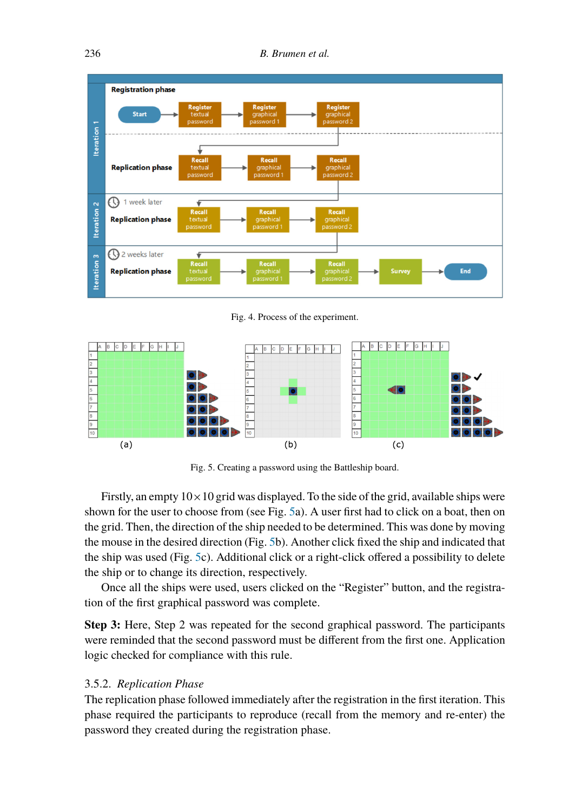<span id="page-11-0"></span>

Fig. 4. Process of the experiment.

<span id="page-11-1"></span>

Fig. 5. Creating a password using the Battleship board.

Firstly, an empty  $10 \times 10$  grid was displayed. To the side of the grid, available ships were shown for the user to choose from (see Fig. [5a](#page-11-1)). A user first had to click on a boat, then on the grid. Then, the direction of the ship needed to be determined. This was done by moving the mouse in the desired direction (Fig. [5b](#page-11-1)). Another click fixed the ship and indicated that the ship was used (Fig. [5c](#page-11-1)). Additional click or a right-click offered a possibility to delete the ship or to change its direction, respectively.

Once all the ships were used, users clicked on the "Register" button, and the registration of the first graphical password was complete.

**Step 3:** Here, Step 2 was repeated for the second graphical password. The participants were reminded that the second password must be different from the first one. Application logic checked for compliance with this rule.

## 3.5.2. *Replication Phase*

The replication phase followed immediately after the registration in the first iteration. This phase required the participants to reproduce (recall from the memory and re-enter) the password they created during the registration phase.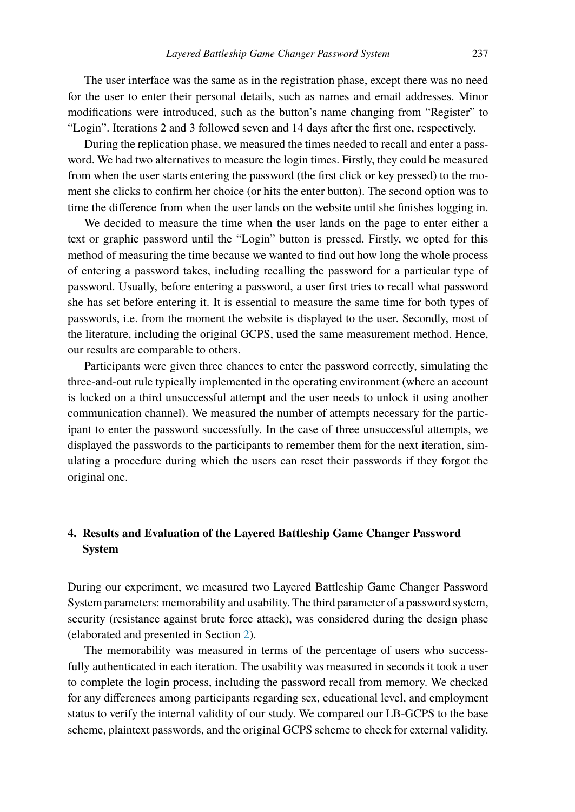The user interface was the same as in the registration phase, except there was no need for the user to enter their personal details, such as names and email addresses. Minor modifications were introduced, such as the button's name changing from "Register" to "Login". Iterations 2 and 3 followed seven and 14 days after the first one, respectively.

During the replication phase, we measured the times needed to recall and enter a password. We had two alternatives to measure the login times. Firstly, they could be measured from when the user starts entering the password (the first click or key pressed) to the moment she clicks to confirm her choice (or hits the enter button). The second option was to time the difference from when the user lands on the website until she finishes logging in.

We decided to measure the time when the user lands on the page to enter either a text or graphic password until the "Login" button is pressed. Firstly, we opted for this method of measuring the time because we wanted to find out how long the whole process of entering a password takes, including recalling the password for a particular type of password. Usually, before entering a password, a user first tries to recall what password she has set before entering it. It is essential to measure the same time for both types of passwords, i.e. from the moment the website is displayed to the user. Secondly, most of the literature, including the original GCPS, used the same measurement method. Hence, our results are comparable to others.

Participants were given three chances to enter the password correctly, simulating the three-and-out rule typically implemented in the operating environment (where an account is locked on a third unsuccessful attempt and the user needs to unlock it using another communication channel). We measured the number of attempts necessary for the participant to enter the password successfully. In the case of three unsuccessful attempts, we displayed the passwords to the participants to remember them for the next iteration, simulating a procedure during which the users can reset their passwords if they forgot the original one.

## <span id="page-12-0"></span>**4. Results and Evaluation of the Layered Battleship Game Changer Password System**

During our experiment, we measured two Layered Battleship Game Changer Password System parameters: memorability and usability. The third parameter of a password system, security (resistance against brute force attack), was considered during the design phase (elaborated and presented in Section [2](#page-1-0)).

The memorability was measured in terms of the percentage of users who successfully authenticated in each iteration. The usability was measured in seconds it took a user to complete the login process, including the password recall from memory. We checked for any differences among participants regarding sex, educational level, and employment status to verify the internal validity of our study. We compared our LB-GCPS to the base scheme, plaintext passwords, and the original GCPS scheme to check for external validity.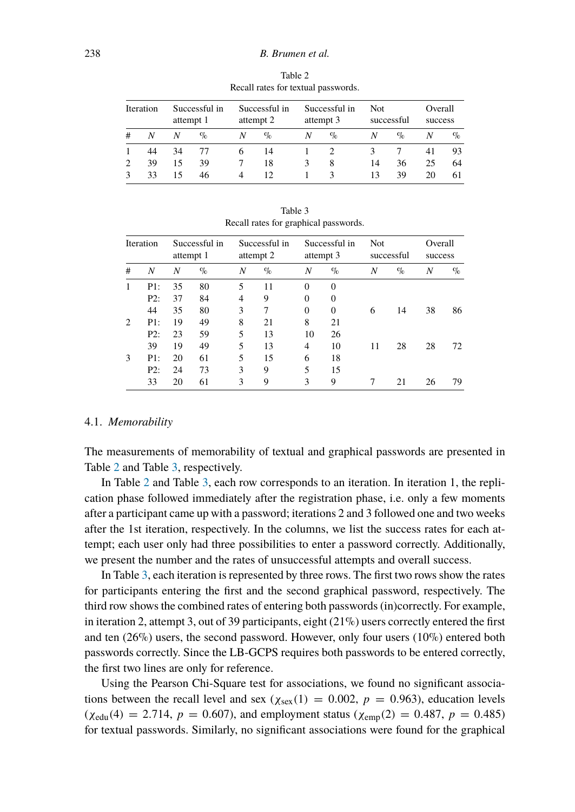<span id="page-13-0"></span>

| <b>Iteration</b> |    | Successful in<br>attempt 1 |      | Successful in<br>attempt 2 |      | Successful in<br>attempt 3 |              | Not.<br>successful |      | Overall<br>success |      |
|------------------|----|----------------------------|------|----------------------------|------|----------------------------|--------------|--------------------|------|--------------------|------|
| #                | N  | N                          | $\%$ | N                          | $\%$ | N                          | $\sigma_{0}$ |                    | $\%$ | N                  | $\%$ |
|                  | 44 | 34                         | 77   | 6                          | 14   |                            |              |                    |      | 41                 | 93   |
| $\mathcal{D}$    | 39 | 15                         | 39   |                            | 18   | 3                          | 8            | 14                 | 36   | 25                 | 64   |
| $\mathbf{R}$     | 33 | 15                         | 46   | 4                          | 12   |                            | κ            | 13                 | 39   | 20                 | 61   |

Table 2 Recall rates for textual passwords.

<span id="page-13-1"></span>

|              |     |                            |      |   | ---                        | $\Gamma$       |                            |                   |      |                    |      |
|--------------|-----|----------------------------|------|---|----------------------------|----------------|----------------------------|-------------------|------|--------------------|------|
| Iteration    |     | Successful in<br>attempt 1 |      |   | Successful in<br>attempt 2 |                | Successful in<br>attempt 3 | Not<br>successful |      | Overall<br>success |      |
| #            | N   | N                          | $\%$ | Ν | $\%$                       | N              | $\%$                       | N                 | $\%$ | N                  | $\%$ |
| $\mathbf{1}$ | P1: | 35                         | 80   | 5 | 11                         | $\theta$       | $\Omega$                   |                   |      |                    |      |
|              | P2: | 37                         | 84   | 4 | 9                          | $\theta$       | $\theta$                   |                   |      |                    |      |
|              | 44  | 35                         | 80   | 3 | 7                          | $\overline{0}$ | $\overline{0}$             | 6                 | 14   | 38                 | 86   |
| 2            | P1: | 19                         | 49   | 8 | 21                         | 8              | 21                         |                   |      |                    |      |
|              | P2: | 23                         | 59   | 5 | 13                         | 10             | 26                         |                   |      |                    |      |
|              | 39  | 19                         | 49   | 5 | 13                         | 4              | 10                         | 11                | 28   | 28                 | 72   |
| 3            | P1: | 20                         | 61   | 5 | 15                         | 6              | 18                         |                   |      |                    |      |
|              | P2: | 24                         | 73   | 3 | 9                          | 5              | 15                         |                   |      |                    |      |
|              | 33  | 20                         | 61   | 3 | 9                          | 3              | 9                          |                   | 21   | 26                 | 79   |

Table 3 Recall rates for graphical passwords.

## 4.1. *Memorability*

The measurements of memorability of textual and graphical passwords are presented in Table [2](#page-13-0) and Table [3](#page-13-1), respectively.

In Table [2](#page-13-0) and Table [3,](#page-13-1) each row corresponds to an iteration. In iteration 1, the replication phase followed immediately after the registration phase, i.e. only a few moments after a participant came up with a password; iterations 2 and 3 followed one and two weeks after the 1st iteration, respectively. In the columns, we list the success rates for each attempt; each user only had three possibilities to enter a password correctly. Additionally, we present the number and the rates of unsuccessful attempts and overall success.

In Table [3,](#page-13-1) each iteration is represented by three rows. The first two rows show the rates for participants entering the first and the second graphical password, respectively. The third row shows the combined rates of entering both passwords (in)correctly. For example, in iteration 2, attempt 3, out of 39 participants, eight  $(21\%)$  users correctly entered the first and ten  $(26\%)$  users, the second password. However, only four users  $(10\%)$  entered both passwords correctly. Since the LB-GCPS requires both passwords to be entered correctly, the first two lines are only for reference.

Using the Pearson Chi-Square test for associations, we found no significant associations between the recall level and sex ( $\chi_{\text{sex}}(1) = 0.002$ ,  $p = 0.963$ ), education levels  $(\chi_{\text{edu}}(4) = 2.714, p = 0.607)$ , and employment status  $(\chi_{\text{emp}}(2) = 0.487, p = 0.485)$ for textual passwords. Similarly, no significant associations were found for the graphical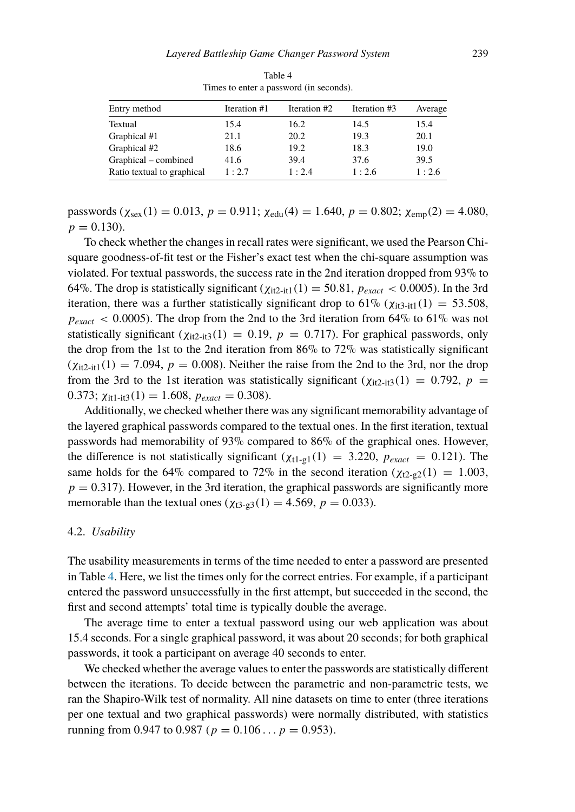<span id="page-14-0"></span>

| Entry method               | Iteration #1 | Iteration #2 | Iteration #3 | Average |
|----------------------------|--------------|--------------|--------------|---------|
| Textual                    | 15.4         | 16.2         | 14.5         | 15.4    |
| Graphical #1               | 21.1         | 20.2         | 19.3         | 20.1    |
| Graphical #2               | 18.6         | 19.2         | 18.3         | 19.0    |
| Graphical – combined       | 41.6         | 39.4         | 37.6         | 39.5    |
| Ratio textual to graphical | 1:2.7        | 1:2.4        | 1:2.6        | 1:2.6   |

Table 4 Times to enter a password (in seconds).

 $p$ asswords ( $\chi_{sex}(1) = 0.013$ ,  $p = 0.911$ ;  $\chi_{cdu}(4) = 1.640$ ,  $p = 0.802$ ;  $\chi_{emp}(2) = 4.080$ ,  $p = 0.130$ .

To check whether the changes in recall rates were significant, we used the Pearson Chisquare goodness-of-fit test or the Fisher's exact test when the chi-square assumption was violated. For textual passwords, the success rate in the 2nd iteration dropped from 93% to 64%. The drop is statistically significant  $(\chi_{it2-it1}(1) = 50.81, p_{exact} < 0.0005)$ . In the 3rd iteration, there was a further statistically significant drop to  $61\%$  ( $\chi_{\text{it3-it1}}(1) = 53.508$ ,  $p_{exact}$  < 0.0005). The drop from the 2nd to the 3rd iteration from 64% to 61% was not statistically significant  $(\chi_{it2-it3}(1) = 0.19, p = 0.717)$ . For graphical passwords, only the drop from the 1st to the 2nd iteration from 86% to 72% was statistically significant  $(\chi_{i2-i1}(1) = 7.094, p = 0.008)$ . Neither the raise from the 2nd to the 3rd, nor the drop from the 3rd to the 1st iteration was statistically significant  $(\chi_{\text{it2-it3}}(1) = 0.792, p =$ 0.373;  $\chi_{\text{it1-it3}}(1) = 1.608$ ,  $p_{\text{exact}} = 0.308$ .

Additionally, we checked whether there was any significant memorability advantage of the layered graphical passwords compared to the textual ones. In the first iteration, textual passwords had memorability of 93% compared to 86% of the graphical ones. However, the difference is not statistically significant  $(\chi_{t1-g1}(1) = 3.220, p_{exact} = 0.121)$ . The same holds for the 64% compared to 72% in the second iteration  $(\chi_{12-22}(1) = 1.003,$  $p = 0.317$ . However, in the 3rd iteration, the graphical passwords are significantly more memorable than the textual ones ( $\chi_{t3-g3}(1) = 4.569$ ,  $p = 0.033$ ).

#### 4.2. *Usability*

The usability measurements in terms of the time needed to enter a password are presented in Table [4.](#page-14-0) Here, we list the times only for the correct entries. For example, if a participant entered the password unsuccessfully in the first attempt, but succeeded in the second, the first and second attempts' total time is typically double the average.

The average time to enter a textual password using our web application was about 15.4 seconds. For a single graphical password, it was about 20 seconds; for both graphical passwords, it took a participant on average 40 seconds to enter.

We checked whether the average values to enter the passwords are statistically different between the iterations. To decide between the parametric and non-parametric tests, we ran the Shapiro-Wilk test of normality. All nine datasets on time to enter (three iterations per one textual and two graphical passwords) were normally distributed, with statistics running from 0.947 to 0.987 ( $p = 0.106...$   $p = 0.953$ ).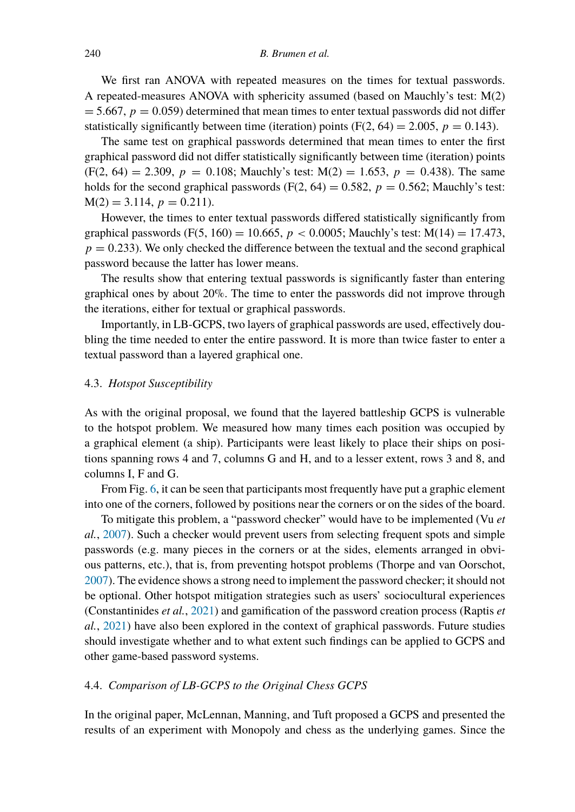We first ran ANOVA with repeated measures on the times for textual passwords. A repeated-measures ANOVA with sphericity assumed (based on Mauchly's test: M(2)  $= 5.667$ ,  $p = 0.059$ ) determined that mean times to enter textual passwords did not differ statistically significantly between time (iteration) points  $(F(2, 64) = 2.005, p = 0.143)$ .

The same test on graphical passwords determined that mean times to enter the first graphical password did not differ statistically significantly between time (iteration) points  $(F(2, 64) = 2.309, p = 0.108; \text{ Mauchly's test: M}(2) = 1.653, p = 0.438$ . The same holds for the second graphical passwords  $(F(2, 64) = 0.582, p = 0.562;$  Mauchly's test:  $M(2) = 3.114, p = 0.211$ .

However, the times to enter textual passwords differed statistically significantly from graphical passwords (F(5, 160) = 10.665,  $p < 0.0005$ ; Mauchly's test: M(14) = 17.473,  $p = 0.233$ ). We only checked the difference between the textual and the second graphical password because the latter has lower means.

The results show that entering textual passwords is significantly faster than entering graphical ones by about 20%. The time to enter the passwords did not improve through the iterations, either for textual or graphical passwords.

Importantly, in LB-GCPS, two layers of graphical passwords are used, effectively doubling the time needed to enter the entire password. It is more than twice faster to enter a textual password than a layered graphical one.

## 4.3. *Hotspot Susceptibility*

As with the original proposal, we found that the layered battleship GCPS is vulnerable to the hotspot problem. We measured how many times each position was occupied by a graphical element (a ship). Participants were least likely to place their ships on positions spanning rows 4 and 7, columns G and H, and to a lesser extent, rows 3 and 8, and columns I, F and G.

From Fig. [6,](#page-16-0) it can be seen that participants most frequently have put a graphic element into one of the corners, followed by positions near the corners or on the sides of the board.

To mitigate this problem, a "password checker" would have to be implemented (Vu *et al.*, [2007](#page-21-4)). Such a checker would prevent users from selecting frequent spots and simple passwords (e.g. many pieces in the corners or at the sides, elements arranged in obvious patterns, etc.), that is, from preventing hotspot problems (Thorpe and van Oorschot, [2007\)](#page-21-5). The evidence shows a strong need to implement the password checker; it should not be optional. Other hotspot mitigation strategies such as users' sociocultural experiences (Constantinides *et al.*, [2021\)](#page-20-3) and gamification of the password creation process (Raptis *et al.*, [2021](#page-21-6)) have also been explored in the context of graphical passwords. Future studies should investigate whether and to what extent such findings can be applied to GCPS and other game-based password systems.

#### 4.4. *Comparison of LB-GCPS to the Original Chess GCPS*

In the original paper, McLennan, Manning, and Tuft proposed a GCPS and presented the results of an experiment with Monopoly and chess as the underlying games. Since the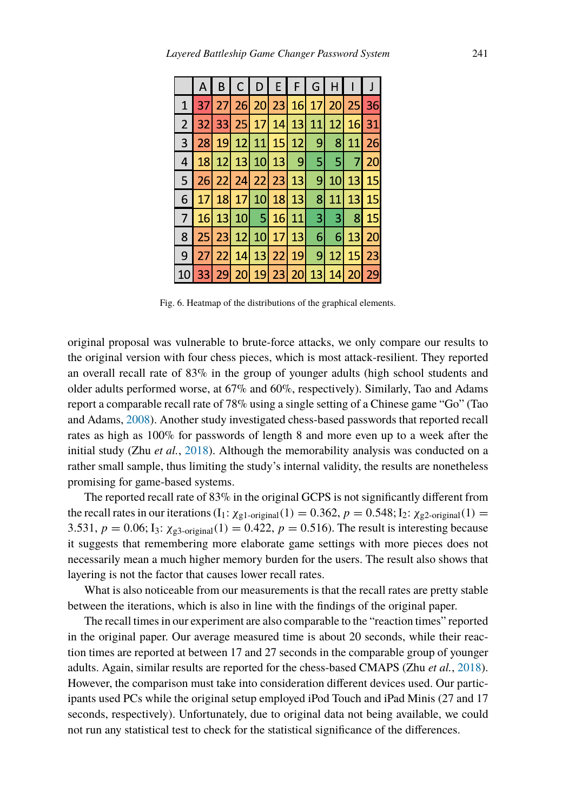<span id="page-16-0"></span>

|                | Α               | B | $\mathsf{C}$ | $DEFT$            |           | G               | H                |                 |    |
|----------------|-----------------|---|--------------|-------------------|-----------|-----------------|------------------|-----------------|----|
| $\mathbf{1}$   | 371             |   |              | 27 26 20 23 16 17 |           |                 |                  | 20 25           | 36 |
| $\overline{2}$ | 32              |   |              | 33 25 17 14 13 11 |           |                 | 12               | 16              | 31 |
| 3              |                 |   |              | 28 19 12 11 15 12 |           |                 | 9 8              | 11              | 26 |
|                |                 |   |              | 18 12 13 10 13    | $\vert$ 9 | 51              | 51               | $\overline{7}$  | 20 |
| 5              |                 |   |              | 26 22 24 22 23 13 |           | 91              | 10 <sup>1</sup>  | 13 15           |    |
| 6              |                 |   |              | 17 18 17 10 18 13 |           | 8               | 11               | 13              | 15 |
| 7 <sup>1</sup> |                 |   |              | 16 13 10 5 16 11  |           | 31              | 3 <sup>1</sup>   | 8               | 15 |
| 8              | 25 <sub>1</sub> |   |              | 23 12 10 17 13    |           | 6l              | $6 \overline{6}$ | 13 <sup>1</sup> | 20 |
| 9              | 27              |   |              | 22 14 13 22 19    |           | 9               | 12               | 15 <sup>1</sup> | 23 |
|                | 33 <sup>1</sup> |   |              | 29 20 19 23 20    |           | 13 <sup>1</sup> | 14               | 20              | 29 |

Fig. 6. Heatmap of the distributions of the graphical elements.

original proposal was vulnerable to brute-force attacks, we only compare our results to the original version with four chess pieces, which is most attack-resilient. They reported an overall recall rate of 83% in the group of younger adults (high school students and older adults performed worse, at 67% and 60%, respectively). Similarly, Tao and Adams report a comparable recall rate of 78% using a single setting of a Chinese game "Go" (Tao and Adams, [2008\)](#page-21-7). Another study investigated chess-based passwords that reported recall rates as high as 100% for passwords of length 8 and more even up to a week after the initial study (Zhu *et al.*, [2018\)](#page-21-8). Although the memorability analysis was conducted on a rather small sample, thus limiting the study's internal validity, the results are nonetheless promising for game-based systems.

The reported recall rate of 83% in the original GCPS is not significantly different from the recall rates in our iterations  $(I_1: \chi_{g1\text{-original}}(1) = 0.362, p = 0.548; I_2: \chi_{g2\text{-original}}(1) =$ 3.531,  $p = 0.06$ ; I<sub>3</sub>:  $\chi_{g3\text{-original}}(1) = 0.422$ ,  $p = 0.516$ ). The result is interesting because it suggests that remembering more elaborate game settings with more pieces does not necessarily mean a much higher memory burden for the users. The result also shows that layering is not the factor that causes lower recall rates.

What is also noticeable from our measurements is that the recall rates are pretty stable between the iterations, which is also in line with the findings of the original paper.

The recall times in our experiment are also comparable to the "reaction times" reported in the original paper. Our average measured time is about 20 seconds, while their reaction times are reported at between 17 and 27 seconds in the comparable group of younger adults. Again, similar results are reported for the chess-based CMAPS (Zhu *et al.*, [2018\)](#page-21-8). However, the comparison must take into consideration different devices used. Our participants used PCs while the original setup employed iPod Touch and iPad Minis (27 and 17 seconds, respectively). Unfortunately, due to original data not being available, we could not run any statistical test to check for the statistical significance of the differences.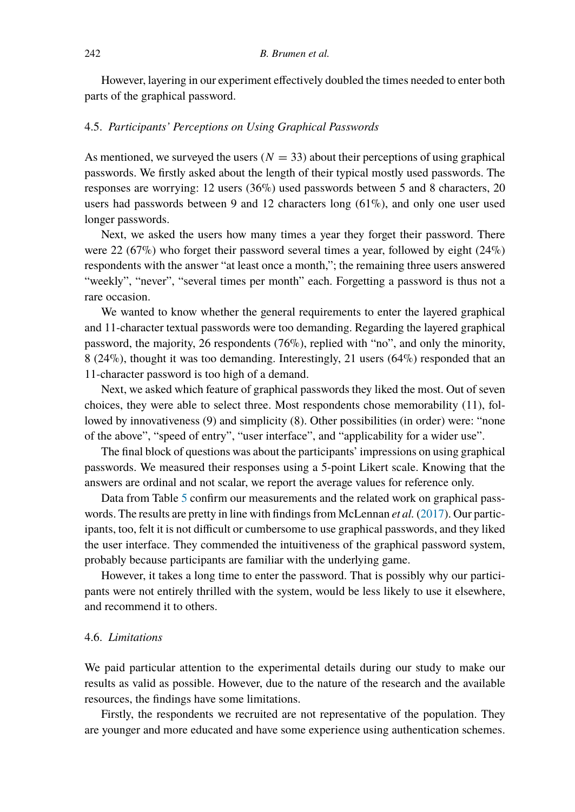However, layering in our experiment effectively doubled the times needed to enter both parts of the graphical password.

## 4.5. *Participants' Perceptions on Using Graphical Passwords*

As mentioned, we surveyed the users  $(N = 33)$  about their perceptions of using graphical passwords. We firstly asked about the length of their typical mostly used passwords. The responses are worrying: 12 users (36%) used passwords between 5 and 8 characters, 20 users had passwords between 9 and 12 characters long  $(61\%)$ , and only one user used longer passwords.

Next, we asked the users how many times a year they forget their password. There were 22 (67%) who forget their password several times a year, followed by eight (24%) respondents with the answer "at least once a month,"; the remaining three users answered "weekly", "never", "several times per month" each. Forgetting a password is thus not a rare occasion.

We wanted to know whether the general requirements to enter the layered graphical and 11-character textual passwords were too demanding. Regarding the layered graphical password, the majority, 26 respondents (76%), replied with "no", and only the minority, 8 (24%), thought it was too demanding. Interestingly, 21 users (64%) responded that an 11-character password is too high of a demand.

Next, we asked which feature of graphical passwords they liked the most. Out of seven choices, they were able to select three. Most respondents chose memorability (11), followed by innovativeness (9) and simplicity (8). Other possibilities (in order) were: "none of the above", "speed of entry", "user interface", and "applicability for a wider use".

The final block of questions was about the participants' impressions on using graphical passwords. We measured their responses using a 5-point Likert scale. Knowing that the answers are ordinal and not scalar, we report the average values for reference only.

Data from Table [5](#page-18-0) confirm our measurements and the related work on graphical passwords. The results are pretty in line with findings from McLennan *et al.* [\(2017\)](#page-20-0). Our participants, too, felt it is not difficult or cumbersome to use graphical passwords, and they liked the user interface. They commended the intuitiveness of the graphical password system, probably because participants are familiar with the underlying game.

However, it takes a long time to enter the password. That is possibly why our participants were not entirely thrilled with the system, would be less likely to use it elsewhere, and recommend it to others.

#### 4.6. *Limitations*

We paid particular attention to the experimental details during our study to make our results as valid as possible. However, due to the nature of the research and the available resources, the findings have some limitations.

Firstly, the respondents we recruited are not representative of the population. They are younger and more educated and have some experience using authentication schemes.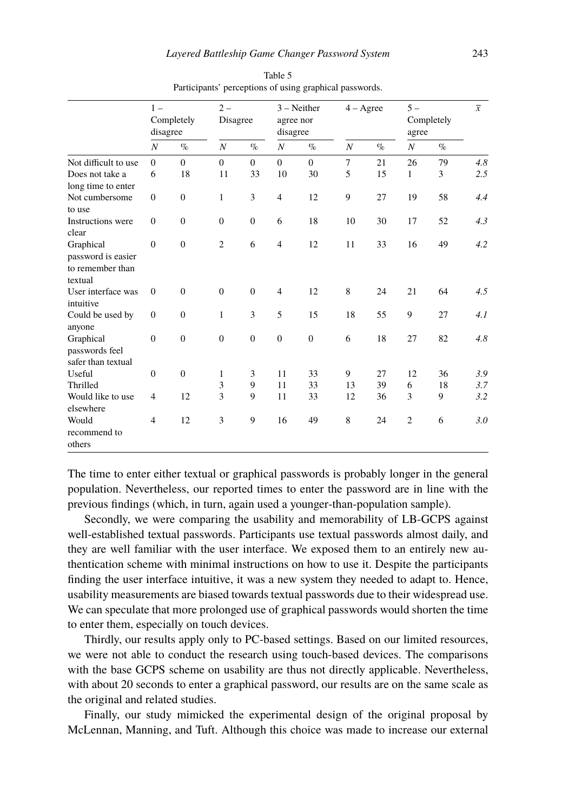<span id="page-18-0"></span>

|                                                                | $1 -$            | Completely<br>disagree |                  | $2 -$<br>Disagree |                  | $3 - Neither$<br>agree nor<br>disagree |                  | $4 - \text{Agree}$ |                  | $5 -$<br>Completely<br>agree |     |
|----------------------------------------------------------------|------------------|------------------------|------------------|-------------------|------------------|----------------------------------------|------------------|--------------------|------------------|------------------------------|-----|
|                                                                | $\boldsymbol{N}$ | $\%$                   | $\boldsymbol{N}$ | $\%$              | $\boldsymbol{N}$ | $\%$                                   | $\boldsymbol{N}$ | $\%$               | $\boldsymbol{N}$ | $\%$                         |     |
| Not difficult to use                                           | $\Omega$         | $\Omega$               | $\Omega$         | $\mathbf{0}$      | $\Omega$         | $\Omega$                               | $\overline{7}$   | 21                 | 26               | 79                           | 4.8 |
| Does not take a                                                | 6                | 18                     | 11               | 33                | 10               | 30                                     | 5                | 15                 | 1                | 3                            | 2.5 |
| long time to enter                                             |                  |                        |                  |                   |                  |                                        |                  |                    |                  |                              |     |
| Not cumbersome                                                 | $\overline{0}$   | $\mathbf{0}$           | 1                | 3                 | $\overline{4}$   | 12                                     | 9                | 27                 | 19               | 58                           | 4.4 |
| to use                                                         |                  |                        |                  |                   |                  |                                        |                  |                    |                  |                              |     |
| Instructions were<br>clear                                     | $\mathbf{0}$     | $\mathbf{0}$           | $\boldsymbol{0}$ | $\boldsymbol{0}$  | 6                | 18                                     | 10               | 30                 | 17               | 52                           | 4.3 |
| Graphical<br>password is easier<br>to remember than<br>textual | $\mathbf{0}$     | $\mathbf{0}$           | $\overline{2}$   | 6                 | $\overline{4}$   | 12                                     | 11               | 33                 | 16               | 49                           | 4.2 |
| User interface was<br>intuitive                                | $\overline{0}$   | $\mathbf{0}$           | $\mathbf{0}$     | $\mathbf{0}$      | $\overline{4}$   | 12                                     | 8                | 24                 | 21               | 64                           | 4.5 |
| Could be used by<br>anyone                                     | $\boldsymbol{0}$ | $\mathbf{0}$           | $\mathbf{1}$     | 3                 | 5                | 15                                     | 18               | 55                 | 9                | 27                           | 4.1 |
| Graphical<br>passwords feel<br>safer than textual              | $\overline{0}$   | $\mathbf{0}$           | $\mathbf{0}$     | $\mathbf{0}$      | $\mathbf{0}$     | $\mathbf{0}$                           | 6                | 18                 | 27               | 82                           | 4.8 |
| Useful                                                         | $\overline{0}$   | $\mathbf{0}$           | 1                | 3                 | 11               | 33                                     | 9                | 27                 | 12               | 36                           | 3.9 |
| Thrilled                                                       |                  |                        | 3                | 9                 | 11               | 33                                     | 13               | 39                 | 6                | 18                           | 3.7 |
| Would like to use<br>elsewhere                                 | $\overline{4}$   | 12                     | 3                | 9                 | 11               | 33                                     | 12               | 36                 | 3                | 9                            | 3.2 |
| Would<br>recommend to<br>others                                | $\overline{4}$   | 12                     | 3                | 9                 | 16               | 49                                     | 8                | 24                 | $\overline{2}$   | 6                            | 3.0 |

Table 5 Participants' perceptions of using graphical passwords.

The time to enter either textual or graphical passwords is probably longer in the general population. Nevertheless, our reported times to enter the password are in line with the previous findings (which, in turn, again used a younger-than-population sample).

Secondly, we were comparing the usability and memorability of LB-GCPS against well-established textual passwords. Participants use textual passwords almost daily, and they are well familiar with the user interface. We exposed them to an entirely new authentication scheme with minimal instructions on how to use it. Despite the participants finding the user interface intuitive, it was a new system they needed to adapt to. Hence, usability measurements are biased towards textual passwords due to their widespread use. We can speculate that more prolonged use of graphical passwords would shorten the time to enter them, especially on touch devices.

Thirdly, our results apply only to PC-based settings. Based on our limited resources, we were not able to conduct the research using touch-based devices. The comparisons with the base GCPS scheme on usability are thus not directly applicable. Nevertheless, with about 20 seconds to enter a graphical password, our results are on the same scale as the original and related studies.

Finally, our study mimicked the experimental design of the original proposal by McLennan, Manning, and Tuft. Although this choice was made to increase our external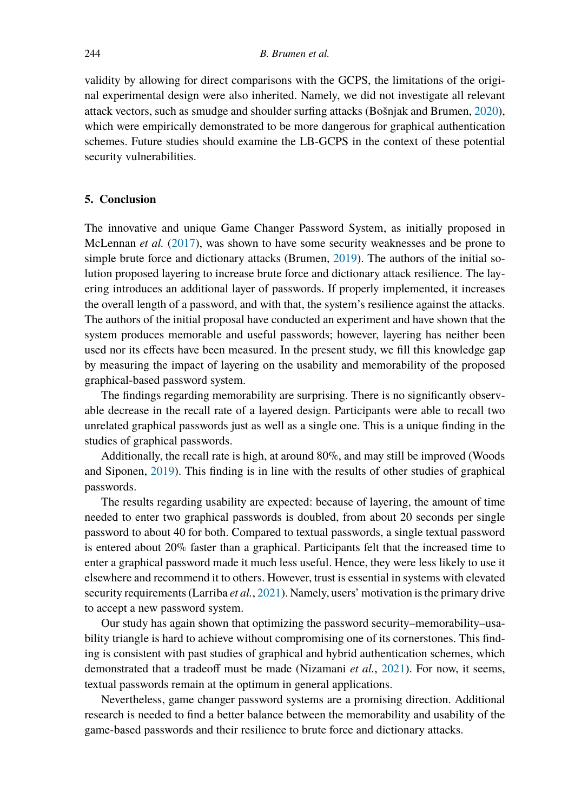validity by allowing for direct comparisons with the GCPS, the limitations of the original experimental design were also inherited. Namely, we did not investigate all relevant attack vectors, such as smudge and shoulder surfing attacks (Bošnjak and Brumen, [2020\)](#page-20-12), which were empirically demonstrated to be more dangerous for graphical authentication schemes. Future studies should examine the LB-GCPS in the context of these potential security vulnerabilities.

## <span id="page-19-0"></span>**5. Conclusion**

The innovative and unique Game Changer Password System, as initially proposed in McLennan *et al.* ([2017\)](#page-20-0), was shown to have some security weaknesses and be prone to simple brute force and dictionary attacks (Brumen, [2019](#page-20-2)). The authors of the initial solution proposed layering to increase brute force and dictionary attack resilience. The layering introduces an additional layer of passwords. If properly implemented, it increases the overall length of a password, and with that, the system's resilience against the attacks. The authors of the initial proposal have conducted an experiment and have shown that the system produces memorable and useful passwords; however, layering has neither been used nor its effects have been measured. In the present study, we fill this knowledge gap by measuring the impact of layering on the usability and memorability of the proposed graphical-based password system.

The findings regarding memorability are surprising. There is no significantly observable decrease in the recall rate of a layered design. Participants were able to recall two unrelated graphical passwords just as well as a single one. This is a unique finding in the studies of graphical passwords.

Additionally, the recall rate is high, at around 80%, and may still be improved (Woods and Siponen, [2019](#page-21-9)). This finding is in line with the results of other studies of graphical passwords.

The results regarding usability are expected: because of layering, the amount of time needed to enter two graphical passwords is doubled, from about 20 seconds per single password to about 40 for both. Compared to textual passwords, a single textual password is entered about 20% faster than a graphical. Participants felt that the increased time to enter a graphical password made it much less useful. Hence, they were less likely to use it elsewhere and recommend it to others. However, trust is essential in systems with elevated security requirements (Larriba *et al.*, [2021\)](#page-20-15). Namely, users' motivation is the primary drive to accept a new password system.

Our study has again shown that optimizing the password security–memorability–usability triangle is hard to achieve without compromising one of its cornerstones. This finding is consistent with past studies of graphical and hybrid authentication schemes, which demonstrated that a tradeoff must be made (Nizamani *et al.*, [2021\)](#page-21-10). For now, it seems, textual passwords remain at the optimum in general applications.

Nevertheless, game changer password systems are a promising direction. Additional research is needed to find a better balance between the memorability and usability of the game-based passwords and their resilience to brute force and dictionary attacks.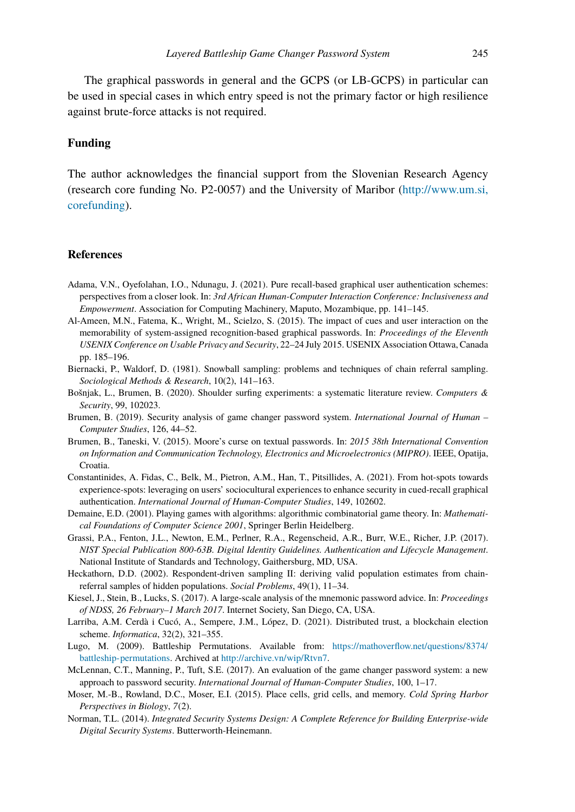The graphical passwords in general and the GCPS (or LB-GCPS) in particular can be used in special cases in which entry speed is not the primary factor or high resilience against brute-force attacks is not required.

## **Funding**

The author acknowledges the financial support from the Slovenian Research Agency (research core funding No. P2-0057) and the University of Maribor [\(http://www.um.si,](http://www.um.si, core funding) [corefunding\)](http://www.um.si, core funding).

## **References**

- <span id="page-20-5"></span>Adama, V.N., Oyefolahan, I.O., Ndunagu, J. (2021). Pure recall-based graphical user authentication schemes: perspectives from a closer look. In: *3rd African Human-Computer Interaction Conference: Inclusiveness and Empowerment*. Association for Computing Machinery, Maputo, Mozambique, pp. 141–145.
- <span id="page-20-6"></span>Al-Ameen, M.N., Fatema, K., Wright, M., Scielzo, S. (2015). The impact of cues and user interaction on the memorability of system-assigned recognition-based graphical passwords. In: *Proceedings of the Eleventh USENIX Conference on Usable Privacy and Security*, 22–24 July 2015. USENIX Association Ottawa, Canada pp. 185–196.
- <span id="page-20-13"></span>Biernacki, P., Waldorf, D. (1981). Snowball sampling: problems and techniques of chain referral sampling. *Sociological Methods & Research*, 10(2), 141–163.
- <span id="page-20-12"></span>Bošnjak, L., Brumen, B. (2020). Shoulder surfing experiments: a systematic literature review. *Computers & Security*, 99, 102023.
- <span id="page-20-2"></span>Brumen, B. (2019). Security analysis of game changer password system. *International Journal of Human – Computer Studies*, 126, 44–52.
- <span id="page-20-9"></span>Brumen, B., Taneski, V. (2015). Moore's curse on textual passwords. In: *2015 38th International Convention on Information and Communication Technology, Electronics and Microelectronics (MIPRO)*. IEEE, Opatija, Croatia.
- <span id="page-20-3"></span>Constantinides, A. Fidas, C., Belk, M., Pietron, A.M., Han, T., Pitsillides, A. (2021). From hot-spots towards experience-spots: leveraging on users' sociocultural experiences to enhance security in cued-recall graphical authentication. *International Journal of Human-Computer Studies*, 149, 102602.
- <span id="page-20-7"></span>Demaine, E.D. (2001). Playing games with algorithms: algorithmic combinatorial game theory. In: *Mathematical Foundations of Computer Science 2001*, Springer Berlin Heidelberg.
- <span id="page-20-10"></span>Grassi, P.A., Fenton, J.L., Newton, E.M., Perlner, R.A., Regenscheid, A.R., Burr, W.E., Richer, J.P. (2017). *NIST Special Publication 800-63B. Digital Identity Guidelines. Authentication and Lifecycle Management*. National Institute of Standards and Technology, Gaithersburg, MD, USA.
- <span id="page-20-14"></span>Heckathorn, D.D. (2002). Respondent-driven sampling II: deriving valid population estimates from chainreferral samples of hidden populations. *Social Problems*, 49(1), 11–34.
- <span id="page-20-1"></span>Kiesel, J., Stein, B., Lucks, S. (2017). A large-scale analysis of the mnemonic password advice. In: *Proceedings of NDSS, 26 February–1 March 2017*. Internet Society, San Diego, CA, USA.
- <span id="page-20-15"></span>Larriba, A.M. Cerdà i Cucó, A., Sempere, J.M., López, D. (2021). Distributed trust, a blockchain election scheme. *Informatica*, 32(2), 321–355.
- <span id="page-20-8"></span>Lugo, M. (2009). Battleship Permutations. Available from: [https://mathoverflow.net/questions/8374/](https://mathoverflow.net/questions/8374/battleship-permutations) [battleship-permutations.](https://mathoverflow.net/questions/8374/battleship-permutations) Archived at <http://archive.vn/wip/Rtvn7>.
- <span id="page-20-0"></span>McLennan, C.T., Manning, P., Tuft, S.E. (2017). An evaluation of the game changer password system: a new approach to password security. *International Journal of Human-Computer Studies*, 100, 1–17.
- <span id="page-20-4"></span>Moser, M.-B., Rowland, D.C., Moser, E.I. (2015). Place cells, grid cells, and memory. *Cold Spring Harbor Perspectives in Biology*, *7*(2).
- <span id="page-20-11"></span>Norman, T.L. (2014). *Integrated Security Systems Design: A Complete Reference for Building Enterprise-wide Digital Security Systems*. Butterworth-Heinemann.